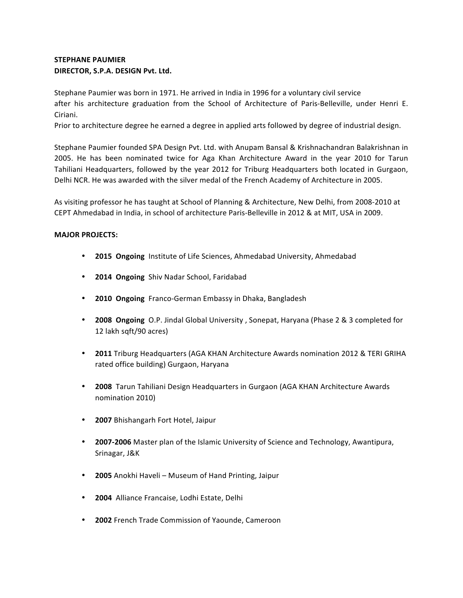## **STEPHANE PAUMIER** DIRECTOR, S.P.A. DESIGN Pvt. Ltd.

Stephane Paumier was born in 1971. He arrived in India in 1996 for a voluntary civil service after his architecture graduation from the School of Architecture of Paris-Belleville, under Henri E. Ciriani. 

Prior to architecture degree he earned a degree in applied arts followed by degree of industrial design.

Stephane Paumier founded SPA Design Pvt. Ltd. with Anupam Bansal & Krishnachandran Balakrishnan in 2005. He has been nominated twice for Aga Khan Architecture Award in the year 2010 for Tarun Tahiliani Headquarters, followed by the year 2012 for Triburg Headquarters both located in Gurgaon, Delhi NCR. He was awarded with the silver medal of the French Academy of Architecture in 2005.

As visiting professor he has taught at School of Planning & Architecture, New Delhi, from 2008-2010 at CEPT Ahmedabad in India, in school of architecture Paris-Belleville in 2012 & at MIT, USA in 2009.

## **MAJOR PROJECTS:**

- **2015 Ongoing** Institute of Life Sciences, Ahmedabad University, Ahmedabad
- **2014 Ongoing** Shiv Nadar School, Faridabad
- **2010 Ongoing** Franco-German Embassy in Dhaka, Bangladesh
- **2008 Ongoing** O.P. Jindal Global University, Sonepat, Haryana (Phase 2 & 3 completed for 12 lakh sqft/90 acres)
- **2011** Triburg Headquarters (AGA KHAN Architecture Awards nomination 2012 & TERI GRIHA rated office building) Gurgaon, Haryana
- **2008** Tarun Tahiliani Design Headquarters in Gurgaon (AGA KHAN Architecture Awards nomination 2010)
- **2007** Bhishangarh Fort Hotel, Jaipur
- **2007-2006** Master plan of the Islamic University of Science and Technology, Awantipura, Srinagar, J&K
- **2005** Anokhi Haveli Museum of Hand Printing, Jaipur
- **2004** Alliance Francaise, Lodhi Estate, Delhi
- **2002** French Trade Commission of Yaounde, Cameroon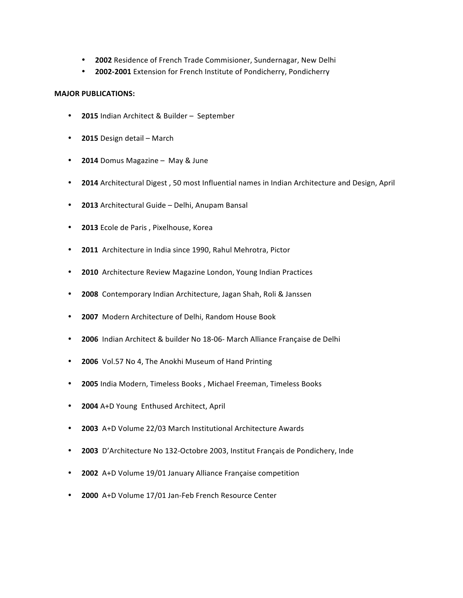- 2002 Residence of French Trade Commisioner, Sundernagar, New Delhi
- **2002-2001** Extension for French Institute of Pondicherry, Pondicherry

## **MAJOR PUBLICATIONS:**

- 2015 Indian Architect & Builder September
- **2015** Design detail March
- **2014** Domus Magazine May & June
- **2014** Architectural Digest, 50 most Influential names in Indian Architecture and Design, April
- **2013** Architectural Guide Delhi, Anupam Bansal
- **2013** Ecole de Paris, Pixelhouse, Korea
- 2011 Architecture in India since 1990, Rahul Mehrotra, Pictor
- **2010** Architecture Review Magazine London, Young Indian Practices
- **2008** Contemporary Indian Architecture, Jagan Shah, Roli & Janssen
- 2007 Modern Architecture of Delhi, Random House Book
- 2006 Indian Architect & builder No 18-06- March Alliance Française de Delhi
- **2006** Vol.57 No 4, The Anokhi Museum of Hand Printing
- 2005 India Modern, Timeless Books, Michael Freeman, Timeless Books
- **2004** A+D Young Enthused Architect, April
- **2003** A+D Volume 22/03 March Institutional Architecture Awards
- **2003** D'Architecture No 132-Octobre 2003, Institut Français de Pondichery, Inde
- **2002** A+D Volume 19/01 January Alliance Française competition
- **2000** A+D Volume 17/01 Jan-Feb French Resource Center